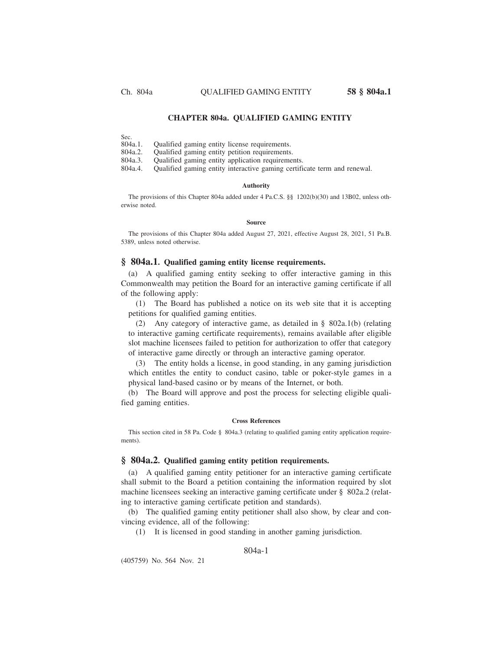#### **CHAPTER 804a. QUALIFIED GAMING ENTITY**

Sec.<br>804a.1.

Qualified gaming entity license requirements.

804a.2. Qualified gaming entity petition requirements.

804a.3. Qualified gaming entity application requirements.

804a.4. Qualified gaming entity interactive gaming certificate term and renewal.

#### **Authority**

The provisions of this Chapter 804a added under 4 Pa.C.S. §§ 1202(b)(30) and 13B02, unless otherwise noted.

#### **Source**

The provisions of this Chapter 804a added August 27, 2021, effective August 28, 2021, 51 Pa.B. 5389, unless noted otherwise.

#### **§ 804a.1. Qualified gaming entity license requirements.**

(a) A qualified gaming entity seeking to offer interactive gaming in this Commonwealth may petition the Board for an interactive gaming certificate if all of the following apply:

(1) The Board has published a notice on its web site that it is accepting petitions for qualified gaming entities.

(2) Any category of interactive game, as detailed in § 802a.1(b) (relating to interactive gaming certificate requirements), remains available after eligible slot machine licensees failed to petition for authorization to offer that category of interactive game directly or through an interactive gaming operator.

(3) The entity holds a license, in good standing, in any gaming jurisdiction which entitles the entity to conduct casino, table or poker-style games in a physical land-based casino or by means of the Internet, or both.

(b) The Board will approve and post the process for selecting eligible qualified gaming entities.

#### **Cross References**

This section cited in 58 Pa. Code § 804a.3 (relating to qualified gaming entity application requirements).

#### **§ 804a.2. Qualified gaming entity petition requirements.**

(a) A qualified gaming entity petitioner for an interactive gaming certificate shall submit to the Board a petition containing the information required by slot machine licensees seeking an interactive gaming certificate under § 802a.2 (relating to interactive gaming certificate petition and standards).

(b) The qualified gaming entity petitioner shall also show, by clear and convincing evidence, all of the following:

(1) It is licensed in good standing in another gaming jurisdiction.

### 804a-1

(405759) No. 564 Nov. 21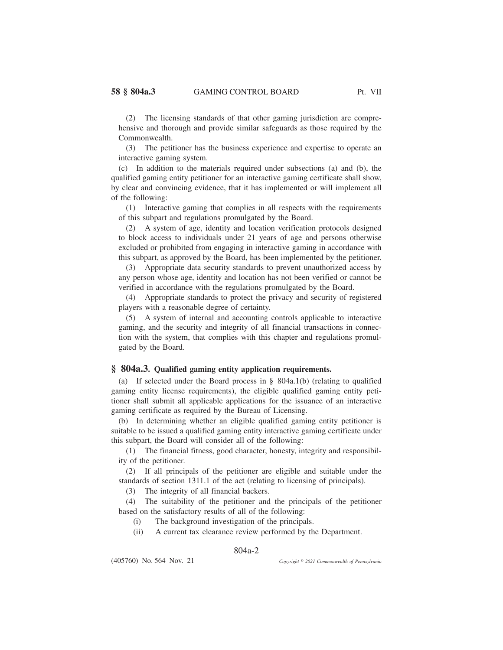(2) The licensing standards of that other gaming jurisdiction are comprehensive and thorough and provide similar safeguards as those required by the Commonwealth.

(3) The petitioner has the business experience and expertise to operate an interactive gaming system.

(c) In addition to the materials required under subsections (a) and (b), the qualified gaming entity petitioner for an interactive gaming certificate shall show, by clear and convincing evidence, that it has implemented or will implement all of the following:

(1) Interactive gaming that complies in all respects with the requirements of this subpart and regulations promulgated by the Board.

(2) A system of age, identity and location verification protocols designed to block access to individuals under 21 years of age and persons otherwise excluded or prohibited from engaging in interactive gaming in accordance with this subpart, as approved by the Board, has been implemented by the petitioner.

(3) Appropriate data security standards to prevent unauthorized access by any person whose age, identity and location has not been verified or cannot be verified in accordance with the regulations promulgated by the Board.

(4) Appropriate standards to protect the privacy and security of registered players with a reasonable degree of certainty.

(5) A system of internal and accounting controls applicable to interactive gaming, and the security and integrity of all financial transactions in connection with the system, that complies with this chapter and regulations promulgated by the Board.

## **§ 804a.3. Qualified gaming entity application requirements.**

(a) If selected under the Board process in § 804a.1(b) (relating to qualified gaming entity license requirements), the eligible qualified gaming entity petitioner shall submit all applicable applications for the issuance of an interactive gaming certificate as required by the Bureau of Licensing.

(b) In determining whether an eligible qualified gaming entity petitioner is suitable to be issued a qualified gaming entity interactive gaming certificate under this subpart, the Board will consider all of the following:

(1) The financial fitness, good character, honesty, integrity and responsibility of the petitioner.

(2) If all principals of the petitioner are eligible and suitable under the standards of section 1311.1 of the act (relating to licensing of principals).

(3) The integrity of all financial backers.

(4) The suitability of the petitioner and the principals of the petitioner based on the satisfactory results of all of the following:

- (i) The background investigation of the principals.
- (ii) A current tax clearance review performed by the Department.

### 804a-2

(405760) No. 564 Nov. 21

*2021 Commonwealth of Pennsylvania*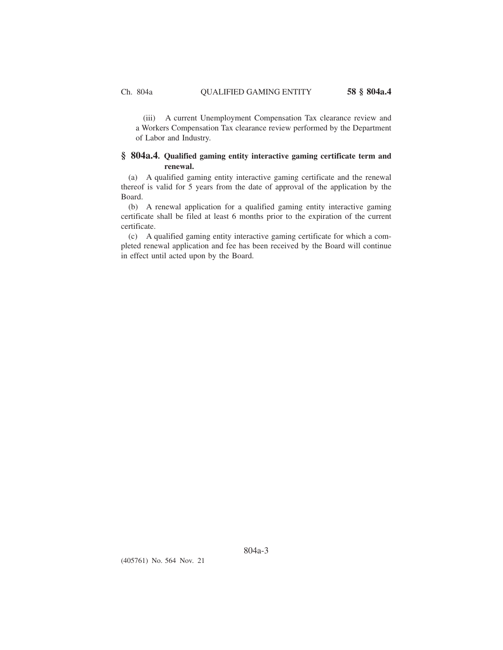(iii) A current Unemployment Compensation Tax clearance review and a Workers Compensation Tax clearance review performed by the Department of Labor and Industry.

# **§ 804a.4. Qualified gaming entity interactive gaming certificate term and renewal.**

(a) A qualified gaming entity interactive gaming certificate and the renewal thereof is valid for 5 years from the date of approval of the application by the Board.

(b) A renewal application for a qualified gaming entity interactive gaming certificate shall be filed at least 6 months prior to the expiration of the current certificate.

(c) A qualified gaming entity interactive gaming certificate for which a completed renewal application and fee has been received by the Board will continue in effect until acted upon by the Board.

(405761) No. 564 Nov. 21

804a-3